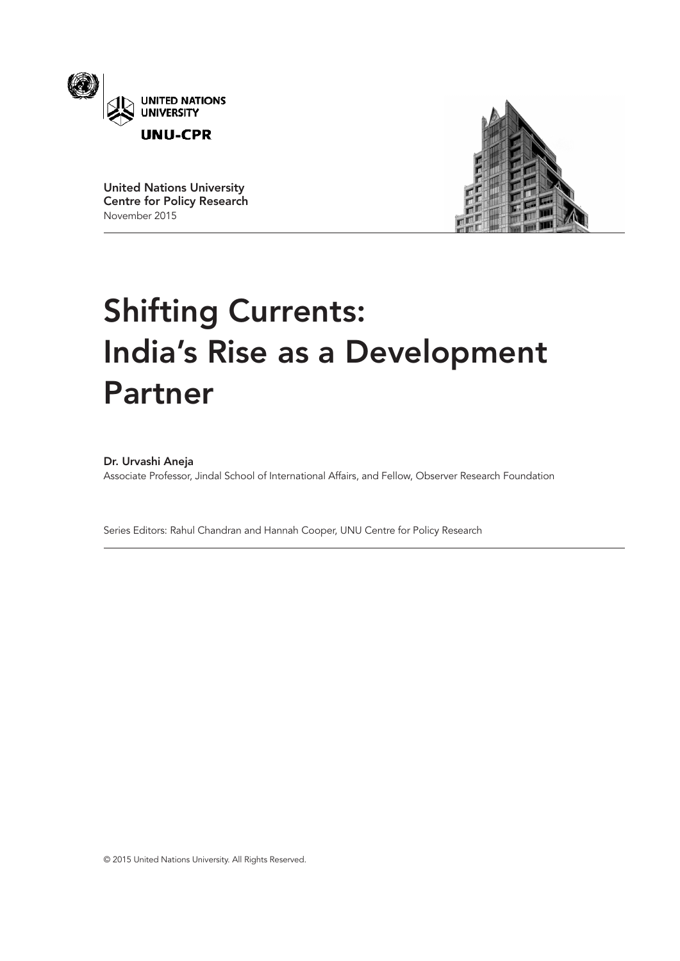

United Nations University Centre for Policy Research November 2015



# Shifting Currents: India's Rise as a Development Partner

# Dr. Urvashi Aneja

Associate Professor, Jindal School of International Affairs, and Fellow, Observer Research Foundation

Series Editors: Rahul Chandran and Hannah Cooper, UNU Centre for Policy Research

© 2015 United Nations University. All Rights Reserved.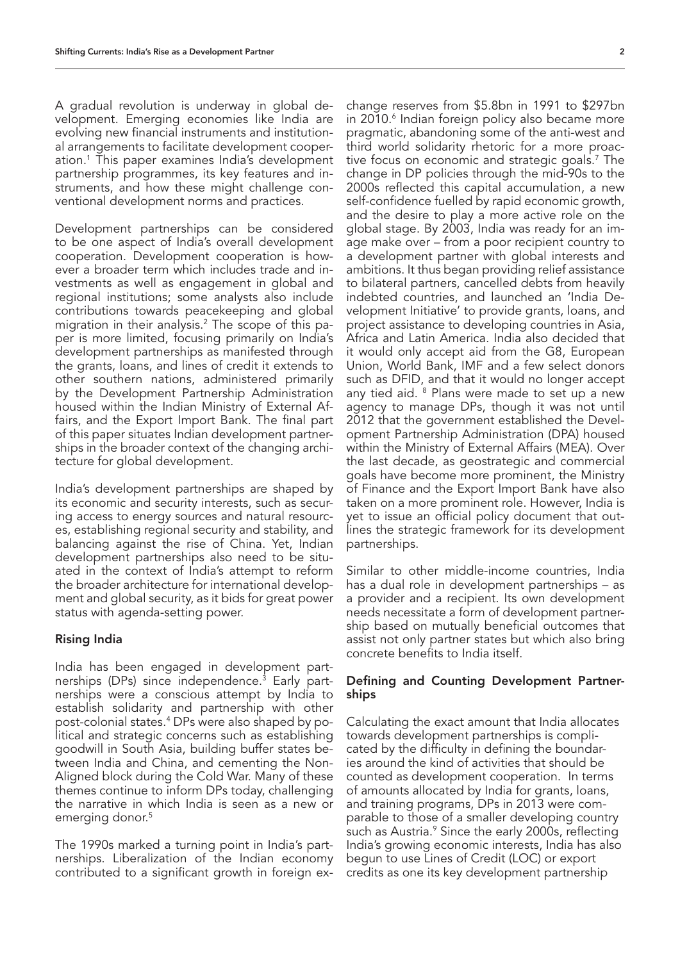A gradual revolution is underway in global development. Emerging economies like India are evolving new financial instruments and institutional arrangements to facilitate development cooperation.1 This paper examines India's development partnership programmes, its key features and instruments, and how these might challenge conventional development norms and practices.

Development partnerships can be considered to be one aspect of India's overall development cooperation. Development cooperation is however a broader term which includes trade and investments as well as engagement in global and regional institutions; some analysts also include contributions towards peacekeeping and global migration in their analysis.2 The scope of this paper is more limited, focusing primarily on India's development partnerships as manifested through the grants, loans, and lines of credit it extends to other southern nations, administered primarily by the Development Partnership Administration housed within the Indian Ministry of External Affairs, and the Export Import Bank. The final part of this paper situates Indian development partnerships in the broader context of the changing architecture for global development.

India's development partnerships are shaped by its economic and security interests, such as securing access to energy sources and natural resources, establishing regional security and stability, and balancing against the rise of China. Yet, Indian development partnerships also need to be situated in the context of India's attempt to reform the broader architecture for international development and global security, as it bids for great power status with agenda-setting power.

# Rising India

India has been engaged in development partnerships (DPs) since independence.<sup>3</sup> Early partnerships were a conscious attempt by India to establish solidarity and partnership with other post-colonial states.4 DPs were also shaped by political and strategic concerns such as establishing goodwill in South Asia, building buffer states between India and China, and cementing the Non-Aligned block during the Cold War. Many of these themes continue to inform DPs today, challenging the narrative in which India is seen as a new or emerging donor.<sup>5</sup>

The 1990s marked a turning point in India's partnerships. Liberalization of the Indian economy contributed to a significant growth in foreign ex-

change reserves from \$5.8bn in 1991 to \$297bn in 2010.<sup>6</sup> Indian foreign policy also became more pragmatic, abandoning some of the anti-west and third world solidarity rhetoric for a more proactive focus on economic and strategic goals.7 The change in DP policies through the mid-90s to the 2000s reflected this capital accumulation, a new self-confidence fuelled by rapid economic growth, and the desire to play a more active role on the global stage. By 2003, India was ready for an image make over – from a poor recipient country to a development partner with global interests and ambitions. It thus began providing relief assistance to bilateral partners, cancelled debts from heavily indebted countries, and launched an 'India Development Initiative' to provide grants, loans, and project assistance to developing countries in Asia, Africa and Latin America. India also decided that it would only accept aid from the G8, European Union, World Bank, IMF and a few select donors such as DFID, and that it would no longer accept any tied aid. <sup>8</sup> Plans were made to set up a new agency to manage DPs, though it was not until 2012 that the government established the Development Partnership Administration (DPA) housed within the Ministry of External Affairs (MEA). Over the last decade, as geostrategic and commercial goals have become more prominent, the Ministry of Finance and the Export Import Bank have also taken on a more prominent role. However, India is yet to issue an official policy document that outlines the strategic framework for its development partnerships.

Similar to other middle-income countries, India has a dual role in development partnerships – as a provider and a recipient. Its own development needs necessitate a form of development partnership based on mutually beneficial outcomes that assist not only partner states but which also bring concrete benefits to India itself.

# Defining and Counting Development Partnerships

Calculating the exact amount that India allocates towards development partnerships is complicated by the difficulty in defining the boundaries around the kind of activities that should be counted as development cooperation. In terms of amounts allocated by India for grants, loans, and training programs, DPs in 2013 were comparable to those of a smaller developing country such as Austria.<sup>9</sup> Since the early 2000s, reflecting India's growing economic interests, India has also begun to use Lines of Credit (LOC) or export credits as one its key development partnership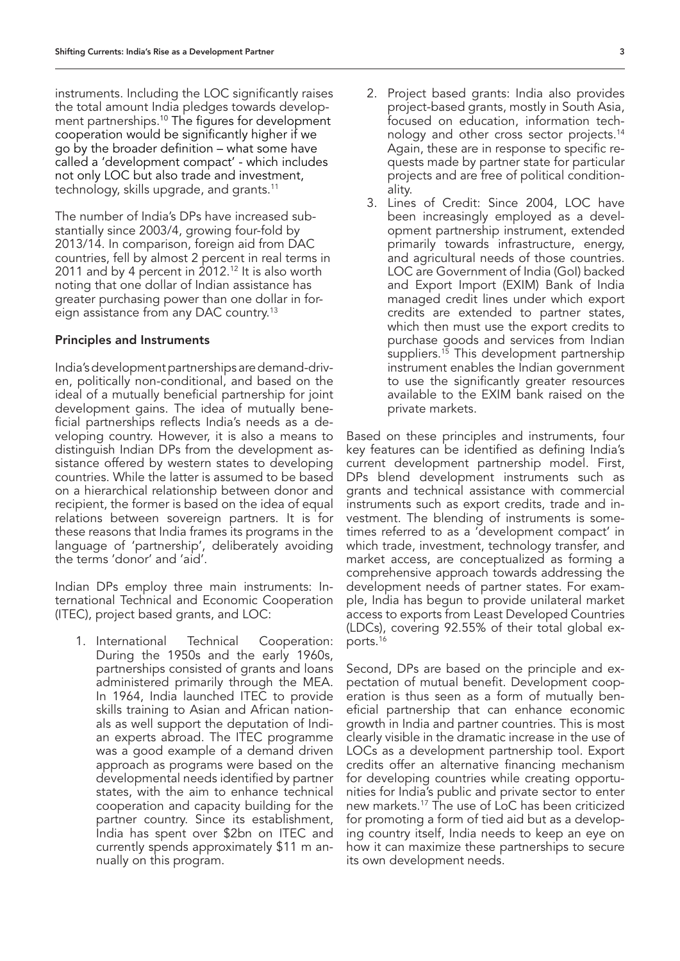instruments. Including the LOC significantly raises the total amount India pledges towards development partnerships.10 The figures for development cooperation would be significantly higher if we go by the broader definition – what some have called a 'development compact' - which includes not only LOC but also trade and investment, technology, skills upgrade, and grants.11

The number of India's DPs have increased substantially since 2003/4, growing four-fold by 2013/14. In comparison, foreign aid from DAC countries, fell by almost 2 percent in real terms in 2011 and by 4 percent in  $2012.<sup>12</sup>$  It is also worth noting that one dollar of Indian assistance has greater purchasing power than one dollar in foreign assistance from any DAC country.13

#### Principles and Instruments

India's development partnerships are demand-driven, politically non-conditional, and based on the ideal of a mutually beneficial partnership for joint development gains. The idea of mutually beneficial partnerships reflects India's needs as a developing country. However, it is also a means to distinguish Indian DPs from the development assistance offered by western states to developing countries. While the latter is assumed to be based on a hierarchical relationship between donor and recipient, the former is based on the idea of equal relations between sovereign partners. It is for these reasons that India frames its programs in the language of 'partnership', deliberately avoiding the terms 'donor' and 'aid'.

Indian DPs employ three main instruments: International Technical and Economic Cooperation (ITEC), project based grants, and LOC:

1. International Technical Cooperation: During the 1950s and the early 1960s, partnerships consisted of grants and loans administered primarily through the MEA. In 1964, India launched ITEC to provide skills training to Asian and African nationals as well support the deputation of Indian experts abroad. The ITEC programme was a good example of a demand driven approach as programs were based on the developmental needs identified by partner states, with the aim to enhance technical cooperation and capacity building for the partner country. Since its establishment, India has spent over \$2bn on ITEC and currently spends approximately \$11 m annually on this program.

- 2. Project based grants: India also provides project-based grants, mostly in South Asia, focused on education, information technology and other cross sector projects.14 Again, these are in response to specific requests made by partner state for particular projects and are free of political conditionality.
- 3. Lines of Credit: Since 2004, LOC have been increasingly employed as a development partnership instrument, extended primarily towards infrastructure, energy, and agricultural needs of those countries. LOC are Government of India (GoI) backed and Export Import (EXIM) Bank of India managed credit lines under which export credits are extended to partner states, which then must use the export credits to purchase goods and services from Indian suppliers.<sup>15</sup> This development partnership instrument enables the Indian government to use the significantly greater resources available to the EXIM bank raised on the private markets.

Based on these principles and instruments, four key features can be identified as defining India's current development partnership model. First, DPs blend development instruments such as grants and technical assistance with commercial instruments such as export credits, trade and investment. The blending of instruments is sometimes referred to as a 'development compact' in which trade, investment, technology transfer, and market access, are conceptualized as forming a comprehensive approach towards addressing the development needs of partner states. For example, India has begun to provide unilateral market access to exports from Least Developed Countries (LDCs), covering 92.55% of their total global exports.16

Second, DPs are based on the principle and expectation of mutual benefit. Development cooperation is thus seen as a form of mutually beneficial partnership that can enhance economic growth in India and partner countries. This is most clearly visible in the dramatic increase in the use of LOCs as a development partnership tool. Export credits offer an alternative financing mechanism for developing countries while creating opportunities for India's public and private sector to enter new markets.17 The use of LoC has been criticized for promoting a form of tied aid but as a developing country itself, India needs to keep an eye on how it can maximize these partnerships to secure its own development needs.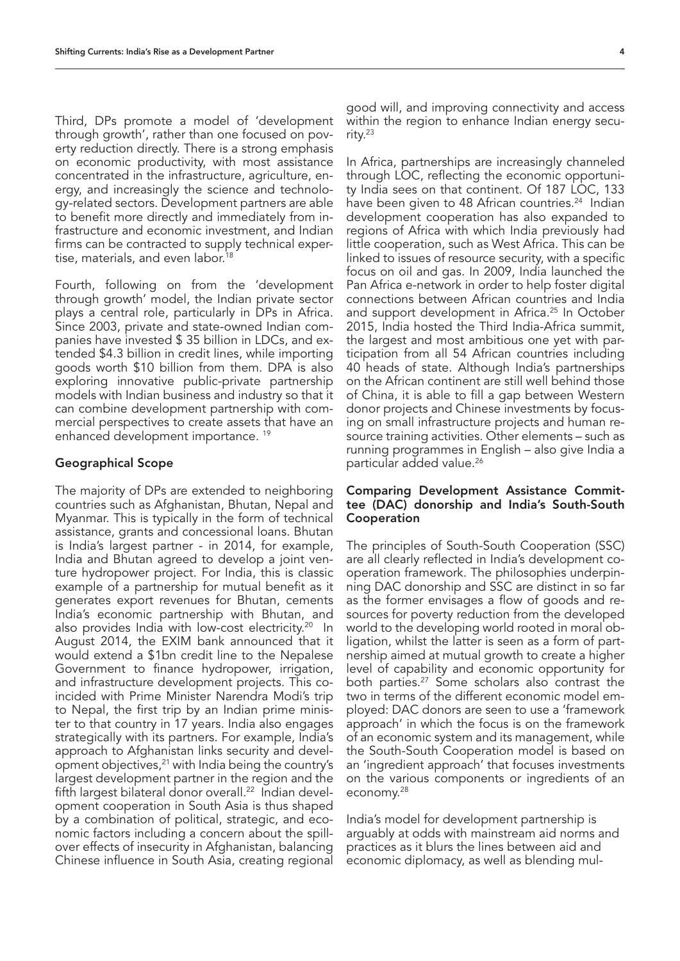Third, DPs promote a model of 'development through growth', rather than one focused on poverty reduction directly. There is a strong emphasis on economic productivity, with most assistance concentrated in the infrastructure, agriculture, energy, and increasingly the science and technology-related sectors. Development partners are able to benefit more directly and immediately from infrastructure and economic investment, and Indian firms can be contracted to supply technical expertise, materials, and even labor.<sup>18</sup>

Fourth, following on from the 'development through growth' model, the Indian private sector plays a central role, particularly in DPs in Africa. Since 2003, private and state-owned Indian companies have invested \$ 35 billion in LDCs, and extended \$4.3 billion in credit lines, while importing goods worth \$10 billion from them. DPA is also exploring innovative public-private partnership models with Indian business and industry so that it can combine development partnership with commercial perspectives to create assets that have an enhanced development importance. 19

#### Geographical Scope

The majority of DPs are extended to neighboring countries such as Afghanistan, Bhutan, Nepal and Myanmar. This is typically in the form of technical assistance, grants and concessional loans. Bhutan is India's largest partner - in 2014, for example, India and Bhutan agreed to develop a joint venture hydropower project. For India, this is classic example of a partnership for mutual benefit as it generates export revenues for Bhutan, cements India's economic partnership with Bhutan, and also provides India with low-cost electricity.<sup>20</sup> In August 2014, the EXIM bank announced that it would extend a \$1bn credit line to the Nepalese Government to finance hydropower, irrigation, and infrastructure development projects. This coincided with Prime Minister Narendra Modi's trip to Nepal, the first trip by an Indian prime minister to that country in 17 years. India also engages strategically with its partners. For example, India's approach to Afghanistan links security and development objectives,21 with India being the country's largest development partner in the region and the fifth largest bilateral donor overall.<sup>22</sup> Indian development cooperation in South Asia is thus shaped by a combination of political, strategic, and economic factors including a concern about the spillover effects of insecurity in Afghanistan, balancing Chinese influence in South Asia, creating regional

good will, and improving connectivity and access within the region to enhance Indian energy security.23

In Africa, partnerships are increasingly channeled through LOC, reflecting the economic opportunity India sees on that continent. Of 187 LOC, 133 have been given to 48 African countries.<sup>24</sup> Indian development cooperation has also expanded to regions of Africa with which India previously had little cooperation, such as West Africa. This can be linked to issues of resource security, with a specific focus on oil and gas. In 2009, India launched the Pan Africa e-network in order to help foster digital connections between African countries and India and support development in Africa.<sup>25</sup> In October 2015, India hosted the Third India-Africa summit, the largest and most ambitious one yet with participation from all 54 African countries including 40 heads of state. Although India's partnerships on the African continent are still well behind those of China, it is able to fill a gap between Western donor projects and Chinese investments by focusing on small infrastructure projects and human resource training activities. Other elements – such as running programmes in English – also give India a particular added value.26

# Comparing Development Assistance Committee (DAC) donorship and India's South-South Cooperation

The principles of South-South Cooperation (SSC) are all clearly reflected in India's development cooperation framework. The philosophies underpinning DAC donorship and SSC are distinct in so far as the former envisages a flow of goods and resources for poverty reduction from the developed world to the developing world rooted in moral obligation, whilst the latter is seen as a form of partnership aimed at mutual growth to create a higher level of capability and economic opportunity for both parties.<sup>27</sup> Some scholars also contrast the two in terms of the different economic model employed: DAC donors are seen to use a 'framework approach' in which the focus is on the framework of an economic system and its management, while the South-South Cooperation model is based on an 'ingredient approach' that focuses investments on the various components or ingredients of an economy.28

India's model for development partnership is arguably at odds with mainstream aid norms and practices as it blurs the lines between aid and economic diplomacy, as well as blending mul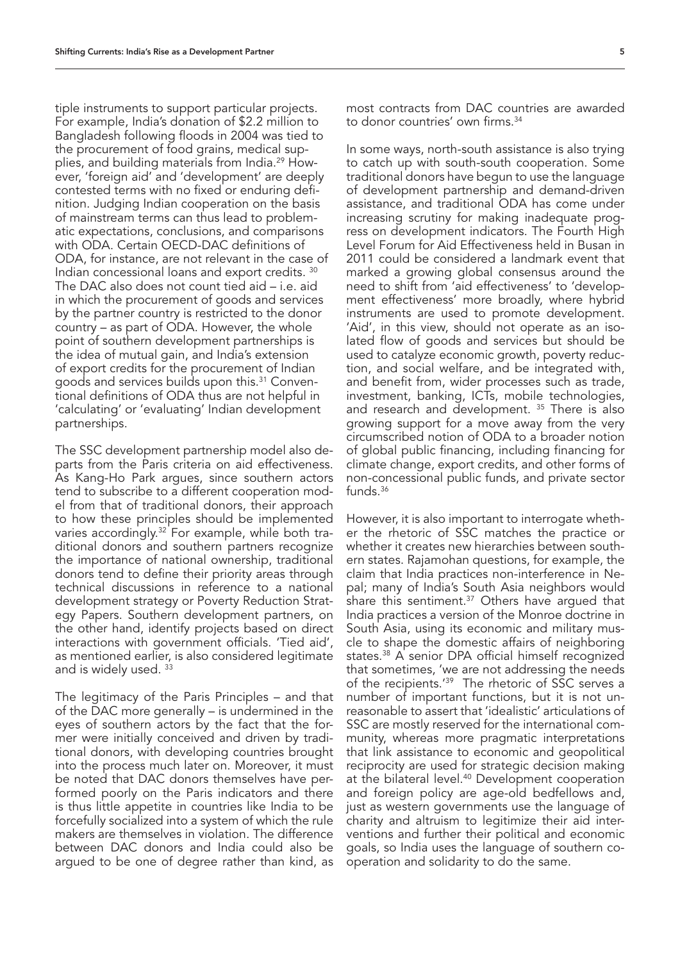tiple instruments to support particular projects. For example, India's donation of \$2.2 million to Bangladesh following floods in 2004 was tied to the procurement of food grains, medical supplies, and building materials from India.29 However, 'foreign aid' and 'development' are deeply contested terms with no fixed or enduring definition. Judging Indian cooperation on the basis of mainstream terms can thus lead to problematic expectations, conclusions, and comparisons with ODA. Certain OECD-DAC definitions of ODA, for instance, are not relevant in the case of Indian concessional loans and export credits. 30 The DAC also does not count tied aid – i.e. aid in which the procurement of goods and services by the partner country is restricted to the donor country – as part of ODA. However, the whole point of southern development partnerships is the idea of mutual gain, and India's extension of export credits for the procurement of Indian goods and services builds upon this.31 Conventional definitions of ODA thus are not helpful in 'calculating' or 'evaluating' Indian development partnerships.

The SSC development partnership model also departs from the Paris criteria on aid effectiveness. As Kang-Ho Park argues, since southern actors tend to subscribe to a different cooperation model from that of traditional donors, their approach to how these principles should be implemented varies accordingly.<sup>32</sup> For example, while both traditional donors and southern partners recognize the importance of national ownership, traditional donors tend to define their priority areas through technical discussions in reference to a national development strategy or Poverty Reduction Strategy Papers. Southern development partners, on the other hand, identify projects based on direct interactions with government officials. 'Tied aid', as mentioned earlier, is also considered legitimate and is widely used. 33

The legitimacy of the Paris Principles – and that of the DAC more generally – is undermined in the eyes of southern actors by the fact that the former were initially conceived and driven by traditional donors, with developing countries brought into the process much later on. Moreover, it must be noted that DAC donors themselves have performed poorly on the Paris indicators and there is thus little appetite in countries like India to be forcefully socialized into a system of which the rule makers are themselves in violation. The difference between DAC donors and India could also be argued to be one of degree rather than kind, as

most contracts from DAC countries are awarded to donor countries' own firms.34

In some ways, north-south assistance is also trying to catch up with south-south cooperation. Some traditional donors have begun to use the language of development partnership and demand-driven assistance, and traditional ODA has come under increasing scrutiny for making inadequate progress on development indicators. The Fourth High Level Forum for Aid Effectiveness held in Busan in 2011 could be considered a landmark event that marked a growing global consensus around the need to shift from 'aid effectiveness' to 'development effectiveness' more broadly, where hybrid instruments are used to promote development. 'Aid', in this view, should not operate as an isolated flow of goods and services but should be used to catalyze economic growth, poverty reduction, and social welfare, and be integrated with, and benefit from, wider processes such as trade, investment, banking, ICTs, mobile technologies, and research and development. 35 There is also growing support for a move away from the very circumscribed notion of ODA to a broader notion of global public financing, including financing for climate change, export credits, and other forms of non-concessional public funds, and private sector funds.36

However, it is also important to interrogate whether the rhetoric of SSC matches the practice or whether it creates new hierarchies between southern states. Rajamohan questions, for example, the claim that India practices non-interference in Nepal; many of India's South Asia neighbors would share this sentiment.<sup>37</sup> Others have arqued that India practices a version of the Monroe doctrine in South Asia, using its economic and military muscle to shape the domestic affairs of neighboring states.38 A senior DPA official himself recognized that sometimes, 'we are not addressing the needs of the recipients.<sup>'39</sup> The rhetoric of SSC serves a number of important functions, but it is not unreasonable to assert that 'idealistic' articulations of SSC are mostly reserved for the international community, whereas more pragmatic interpretations that link assistance to economic and geopolitical reciprocity are used for strategic decision making at the bilateral level.40 Development cooperation and foreign policy are age-old bedfellows and, just as western governments use the language of charity and altruism to legitimize their aid interventions and further their political and economic goals, so India uses the language of southern cooperation and solidarity to do the same.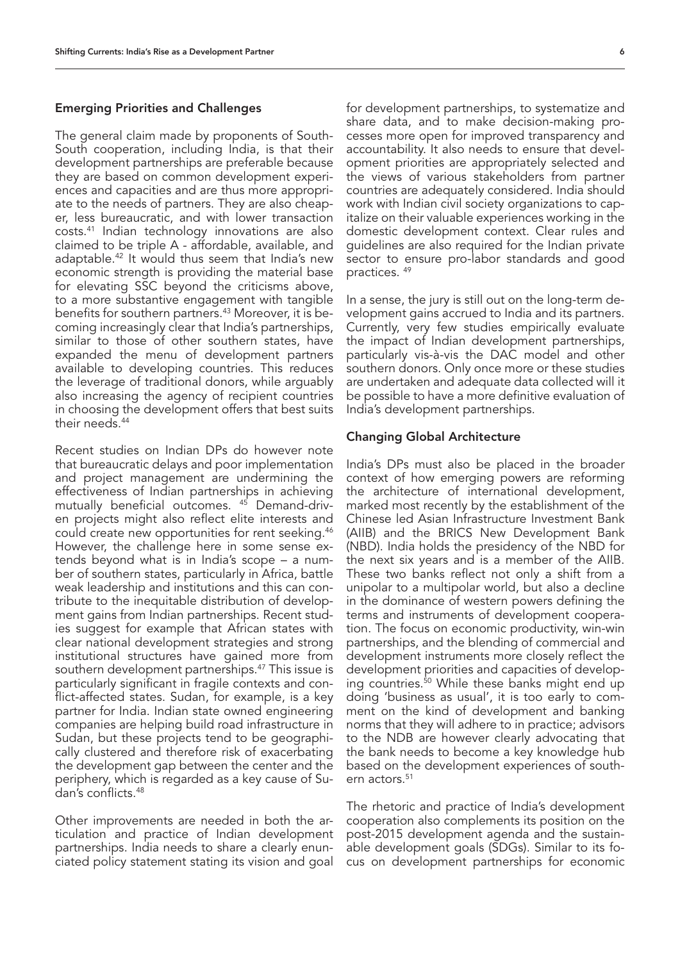# Emerging Priorities and Challenges

The general claim made by proponents of South-South cooperation, including India, is that their development partnerships are preferable because they are based on common development experiences and capacities and are thus more appropriate to the needs of partners. They are also cheaper, less bureaucratic, and with lower transaction costs.41 Indian technology innovations are also claimed to be triple A - affordable, available, and adaptable.42 It would thus seem that India's new economic strength is providing the material base for elevating SSC beyond the criticisms above, to a more substantive engagement with tangible benefits for southern partners.43 Moreover, it is becoming increasingly clear that India's partnerships, similar to those of other southern states, have expanded the menu of development partners available to developing countries. This reduces the leverage of traditional donors, while arguably also increasing the agency of recipient countries in choosing the development offers that best suits their needs.<sup>44</sup>

Recent studies on Indian DPs do however note that bureaucratic delays and poor implementation and project management are undermining the effectiveness of Indian partnerships in achieving mutually beneficial outcomes. 45 Demand-driven projects might also reflect elite interests and could create new opportunities for rent seeking.46 However, the challenge here in some sense extends beyond what is in India's scope – a number of southern states, particularly in Africa, battle weak leadership and institutions and this can contribute to the inequitable distribution of development gains from Indian partnerships. Recent studies suggest for example that African states with clear national development strategies and strong institutional structures have gained more from southern development partnerships.<sup>47</sup> This issue is particularly significant in fragile contexts and conflict-affected states. Sudan, for example, is a key partner for India. Indian state owned engineering companies are helping build road infrastructure in Sudan, but these projects tend to be geographically clustered and therefore risk of exacerbating the development gap between the center and the periphery, which is regarded as a key cause of Sudan's conflicts.48

Other improvements are needed in both the articulation and practice of Indian development partnerships. India needs to share a clearly enunciated policy statement stating its vision and goal for development partnerships, to systematize and share data, and to make decision-making processes more open for improved transparency and accountability. It also needs to ensure that development priorities are appropriately selected and the views of various stakeholders from partner countries are adequately considered. India should work with Indian civil society organizations to capitalize on their valuable experiences working in the domestic development context. Clear rules and guidelines are also required for the Indian private sector to ensure pro-labor standards and good practices. 49

In a sense, the jury is still out on the long-term development gains accrued to India and its partners. Currently, very few studies empirically evaluate the impact of Indian development partnerships, particularly vis-à-vis the DAC model and other southern donors. Only once more or these studies are undertaken and adequate data collected will it be possible to have a more definitive evaluation of India's development partnerships.

#### Changing Global Architecture

India's DPs must also be placed in the broader context of how emerging powers are reforming the architecture of international development, marked most recently by the establishment of the Chinese led Asian Infrastructure Investment Bank (AIIB) and the BRICS New Development Bank (NBD). India holds the presidency of the NBD for the next six years and is a member of the AIIB. These two banks reflect not only a shift from a unipolar to a multipolar world, but also a decline in the dominance of western powers defining the terms and instruments of development cooperation. The focus on economic productivity, win-win partnerships, and the blending of commercial and development instruments more closely reflect the development priorities and capacities of developing countries.<sup>50</sup> While these banks might end up doing 'business as usual', it is too early to comment on the kind of development and banking norms that they will adhere to in practice; advisors to the NDB are however clearly advocating that the bank needs to become a key knowledge hub based on the development experiences of southern actors.<sup>51</sup>

The rhetoric and practice of India's development cooperation also complements its position on the post-2015 development agenda and the sustainable development goals (SDGs). Similar to its focus on development partnerships for economic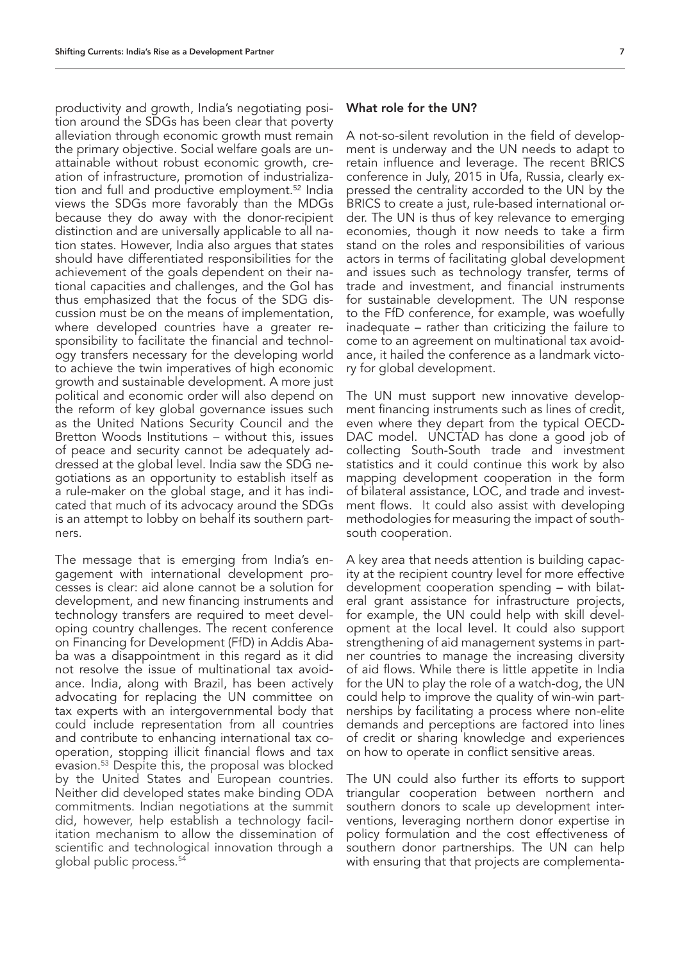productivity and growth, India's negotiating position around the SDGs has been clear that poverty alleviation through economic growth must remain the primary objective. Social welfare goals are unattainable without robust economic growth, creation of infrastructure, promotion of industrialization and full and productive employment.<sup>52</sup> India views the SDGs more favorably than the MDGs because they do away with the donor-recipient distinction and are universally applicable to all nation states. However, India also argues that states should have differentiated responsibilities for the achievement of the goals dependent on their national capacities and challenges, and the GoI has thus emphasized that the focus of the SDG discussion must be on the means of implementation, where developed countries have a greater responsibility to facilitate the financial and technology transfers necessary for the developing world to achieve the twin imperatives of high economic growth and sustainable development. A more just political and economic order will also depend on the reform of key global governance issues such as the United Nations Security Council and the Bretton Woods Institutions – without this, issues of peace and security cannot be adequately addressed at the global level. India saw the SDG negotiations as an opportunity to establish itself as a rule-maker on the global stage, and it has indicated that much of its advocacy around the SDGs is an attempt to lobby on behalf its southern partners.

The message that is emerging from India's engagement with international development processes is clear: aid alone cannot be a solution for development, and new financing instruments and technology transfers are required to meet developing country challenges. The recent conference on Financing for Development (FfD) in Addis Ababa was a disappointment in this regard as it did not resolve the issue of multinational tax avoidance. India, along with Brazil, has been actively advocating for replacing the UN committee on tax experts with an intergovernmental body that could include representation from all countries and contribute to enhancing international tax cooperation, stopping illicit financial flows and tax evasion.53 Despite this, the proposal was blocked by the United States and European countries. Neither did developed states make binding ODA commitments. Indian negotiations at the summit did, however, help establish a technology facilitation mechanism to allow the dissemination of scientific and technological innovation through a global public process.54

## What role for the UN?

A not-so-silent revolution in the field of development is underway and the UN needs to adapt to retain influence and leverage. The recent BRICS conference in July, 2015 in Ufa, Russia, clearly expressed the centrality accorded to the UN by the BRICS to create a just, rule-based international order. The UN is thus of key relevance to emerging economies, though it now needs to take a firm stand on the roles and responsibilities of various actors in terms of facilitating global development and issues such as technology transfer, terms of trade and investment, and financial instruments for sustainable development. The UN response to the FfD conference, for example, was woefully inadequate – rather than criticizing the failure to come to an agreement on multinational tax avoidance, it hailed the conference as a landmark victory for global development.

The UN must support new innovative development financing instruments such as lines of credit, even where they depart from the typical OECD-DAC model. UNCTAD has done a good job of collecting South-South trade and investment statistics and it could continue this work by also mapping development cooperation in the form of bilateral assistance, LOC, and trade and investment flows. It could also assist with developing methodologies for measuring the impact of southsouth cooperation.

A key area that needs attention is building capacity at the recipient country level for more effective development cooperation spending – with bilateral grant assistance for infrastructure projects, for example, the UN could help with skill development at the local level. It could also support strengthening of aid management systems in partner countries to manage the increasing diversity of aid flows. While there is little appetite in India for the UN to play the role of a watch-dog, the UN could help to improve the quality of win-win partnerships by facilitating a process where non-elite demands and perceptions are factored into lines of credit or sharing knowledge and experiences on how to operate in conflict sensitive areas.

The UN could also further its efforts to support triangular cooperation between northern and southern donors to scale up development interventions, leveraging northern donor expertise in policy formulation and the cost effectiveness of southern donor partnerships. The UN can help with ensuring that that projects are complementa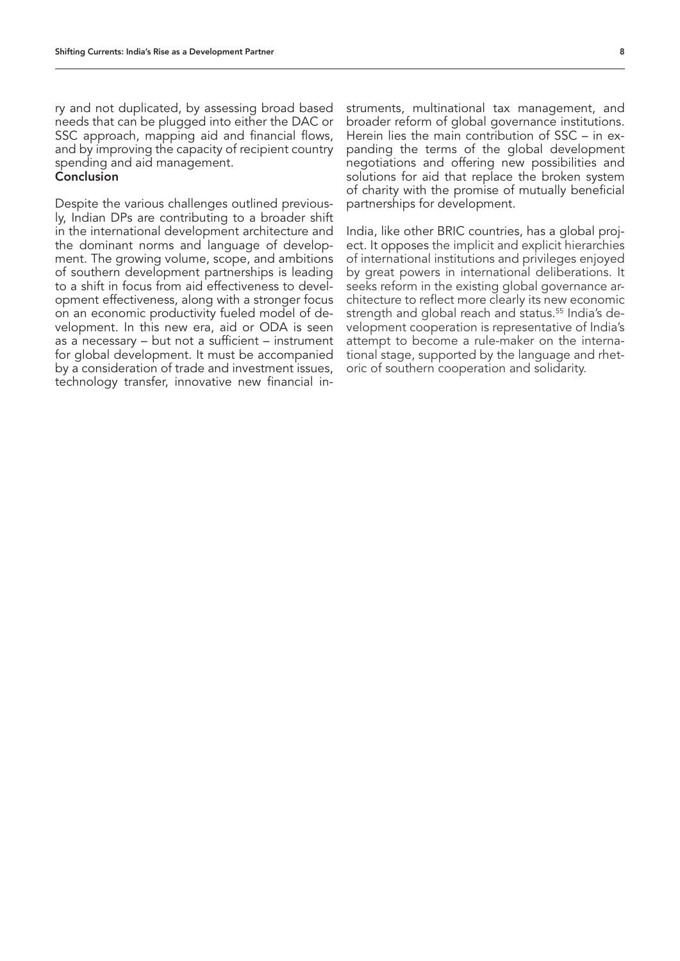ry and not duplicated, by assessing broad based needs that can be plugged into either the DAC or SSC approach, mapping aid and financial flows, and by improving the capacity of recipient country spending and aid management.

#### Conclusion

Despite the various challenges outlined previously, Indian DPs are contributing to a broader shift in the international development architecture and the dominant norms and language of development. The growing volume, scope, and ambitions of southern development partnerships is leading to a shift in focus from aid effectiveness to development effectiveness, along with a stronger focus on an economic productivity fueled model of development. In this new era, aid or ODA is seen as a necessary – but not a sufficient – instrument for global development. It must be accompanied by a consideration of trade and investment issues, technology transfer, innovative new financial instruments, multinational tax management, and broader reform of global governance institutions. Herein lies the main contribution of SSC – in expanding the terms of the global development negotiations and offering new possibilities and solutions for aid that replace the broken system of charity with the promise of mutually beneficial partnerships for development.

India, like other BRIC countries, has a global project. It opposes the implicit and explicit hierarchies of international institutions and privileges enjoyed by great powers in international deliberations. It seeks reform in the existing global governance architecture to reflect more clearly its new economic strength and global reach and status.<sup>55</sup> India's development cooperation is representative of India's attempt to become a rule-maker on the international stage, supported by the language and rhetoric of southern cooperation and solidarity.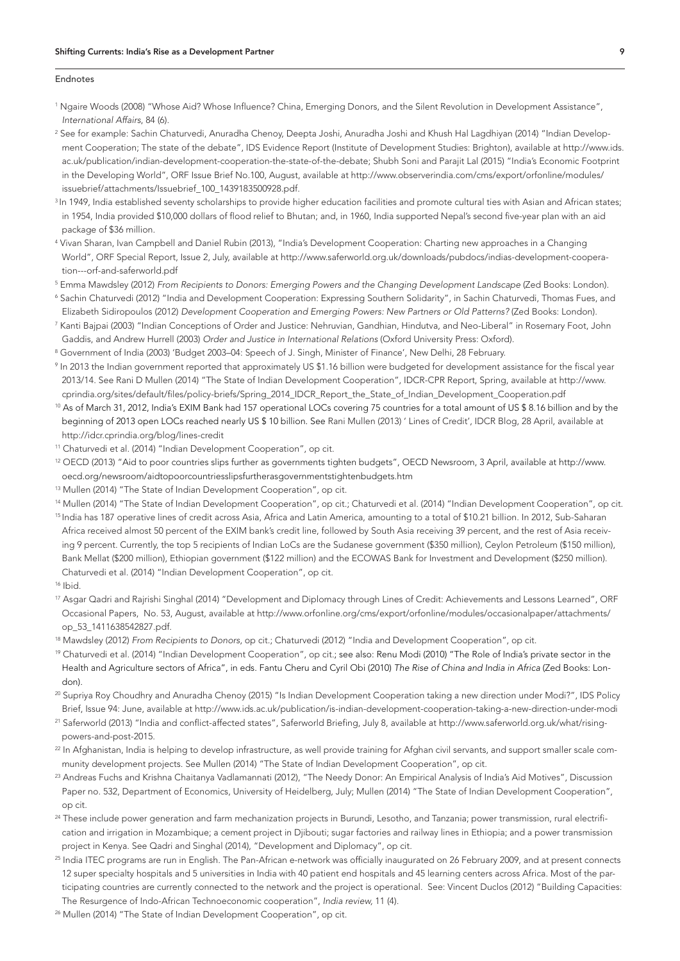#### Endnotes

- 1 Ngaire Woods (2008) "Whose Aid? Whose Influence? China, Emerging Donors, and the Silent Revolution in Development Assistance", *International Affairs*, 84 (6).
- 2 See for example: Sachin Chaturvedi, Anuradha Chenoy, Deepta Joshi, Anuradha Joshi and Khush Hal Lagdhiyan (2014) "Indian Development Cooperation; The state of the debate", IDS Evidence Report (Institute of Development Studies: Brighton), available at http://www.ids. ac.uk/publication/indian-development-cooperation-the-state-of-the-debate; Shubh Soni and Parajit Lal (2015) "India's Economic Footprint in the Developing World", ORF Issue Brief No.100, August, available at http://www.observerindia.com/cms/export/orfonline/modules/ issuebrief/attachments/Issuebrief\_100\_1439183500928.pdf.
- <sup>3</sup> In 1949, India established seventy scholarships to provide higher education facilities and promote cultural ties with Asian and African states; in 1954, India provided \$10,000 dollars of flood relief to Bhutan; and, in 1960, India supported Nepal's second five-year plan with an aid package of \$36 million.
- 4 Vivan Sharan, Ivan Campbell and Daniel Rubin (2013), "India's Development Cooperation: Charting new approaches in a Changing World", ORF Special Report, Issue 2, July, available at http://www.saferworld.org.uk/downloads/pubdocs/indias-development-cooperation---orf-and-saferworld.pdf
- <sup>5</sup> Emma Mawdsley (2012) *From Recipients to Donors: Emerging Powers and the Changing Development Landscape (Zed Books: London).*
- 6 Sachin Chaturvedi (2012) "India and Development Cooperation: Expressing Southern Solidarity", in Sachin Chaturvedi, Thomas Fues, and Elizabeth Sidiropoulos (2012) *Development Cooperation and Emerging Powers: New Partners or Old Patterns?* (Zed Books: London).
- <sup>7</sup> Kanti Bajpai (2003) "Indian Conceptions of Order and Justice: Nehruvian, Gandhian, Hindutva, and Neo-Liberal" in Rosemary Foot, John Gaddis, and Andrew Hurrell (2003) *Order and Justice in International Relations* (Oxford University Press: Oxford).
- 8 Government of India (2003) 'Budget 2003–04: Speech of J. Singh, Minister of Finance', New Delhi, 28 February.
- 9 In 2013 the Indian government reported that approximately US \$1.16 billion were budgeted for development assistance for the fiscal year 2013/14. See Rani D Mullen (2014) "The State of Indian Development Cooperation", IDCR-CPR Report, Spring, available at http://www. cprindia.org/sites/default/files/policy-briefs/Spring\_2014\_IDCR\_Report\_the\_State\_of\_Indian\_Development\_Cooperation.pdf
- <sup>10</sup> As of March 31, 2012, India's EXIM Bank had 157 operational LOCs covering 75 countries for a total amount of US \$ 8.16 billion and by the beginning of 2013 open LOCs reached nearly US \$ 10 billion. See Rani Mullen (2013) ' Lines of Credit', IDCR Blog, 28 April, available at http://idcr.cprindia.org/blog/lines-credit
- <sup>11</sup> Chaturvedi et al. (2014) "Indian Development Cooperation", op cit.
- 12 OECD (2013) "Aid to poor countries slips further as governments tighten budgets", OECD Newsroom, 3 April, available at http://www. oecd.org/newsroom/aidtopoorcountriesslipsfurtherasgovernmentstightenbudgets.htm
- <sup>13</sup> Mullen (2014) "The State of Indian Development Cooperation", op cit.
- <sup>14</sup> Mullen (2014) "The State of Indian Development Cooperation", op cit.; Chaturvedi et al. (2014) "Indian Development Cooperation", op cit.
- <sup>15</sup> India has 187 operative lines of credit across Asia, Africa and Latin America, amounting to a total of \$10.21 billion. In 2012, Sub-Saharan Africa received almost 50 percent of the EXIM bank's credit line, followed by South Asia receiving 39 percent, and the rest of Asia receiving 9 percent. Currently, the top 5 recipients of Indian LoCs are the Sudanese government (\$350 million), Ceylon Petroleum (\$150 million), Bank Mellat (\$200 million), Ethiopian government (\$122 million) and the ECOWAS Bank for Investment and Development (\$250 million). Chaturvedi et al. (2014) "Indian Development Cooperation", op cit.
- $16$  Ihid.
- 17 Asgar Qadri and Rajrishi Singhal (2014) "Development and Diplomacy through Lines of Credit: Achievements and Lessons Learned", ORF Occasional Papers, No. 53, August, available at http://www.orfonline.org/cms/export/orfonline/modules/occasionalpaper/attachments/ op\_53\_1411638542827.pdf.
- 18 Mawdsley (2012) *From Recipients to Donors*, op cit.; Chaturvedi (2012) "India and Development Cooperation", op cit.
- <sup>19</sup> Chaturvedi et al. (2014) "Indian Development Cooperation", op cit.; see also: Renu Modi (2010) "The Role of India's private sector in the Health and Agriculture sectors of Africa", in eds. Fantu Cheru and Cyril Obi (2010) *The Rise of China and India in Africa* (Zed Books: London).
- 20 Supriya Roy Choudhry and Anuradha Chenoy (2015) "Is Indian Development Cooperation taking a new direction under Modi?", IDS Policy Brief, Issue 94: June, available at http://www.ids.ac.uk/publication/is-indian-development-cooperation-taking-a-new-direction-under-modi
- 21 Saferworld (2013) "India and conflict-affected states", Saferworld Briefing, July 8, available at http://www.saferworld.org.uk/what/risingpowers-and-post-2015.
- <sup>22</sup> In Afghanistan, India is helping to develop infrastructure, as well provide training for Afghan civil servants, and support smaller scale community development projects. See Mullen (2014) "The State of Indian Development Cooperation", op cit.
- <sup>23</sup> Andreas Fuchs and Krishna Chaitanya Vadlamannati (2012), "The Needy Donor: An Empirical Analysis of India's Aid Motives", Discussion Paper no. 532, Department of Economics, University of Heidelberg, July; Mullen (2014) "The State of Indian Development Cooperation", op cit.
- <sup>24</sup> These include power generation and farm mechanization projects in Burundi, Lesotho, and Tanzania; power transmission, rural electrification and irrigation in Mozambique; a cement project in Djibouti; sugar factories and railway lines in Ethiopia; and a power transmission project in Kenya. See Qadri and Singhal (2014), "Development and Diplomacy", op cit.
- <sup>25</sup> India ITEC programs are run in English. The Pan-African e-network was officially inaugurated on 26 February 2009, and at present connects 12 super specialty hospitals and 5 universities in India with 40 patient end hospitals and 45 learning centers across Africa. Most of the participating countries are currently connected to the network and the project is operational. See: Vincent Duclos (2012) "Building Capacities: The Resurgence of Indo-African Technoeconomic cooperation", *India review,* 11 (4).
- <sup>26</sup> Mullen (2014) "The State of Indian Development Cooperation", op cit.